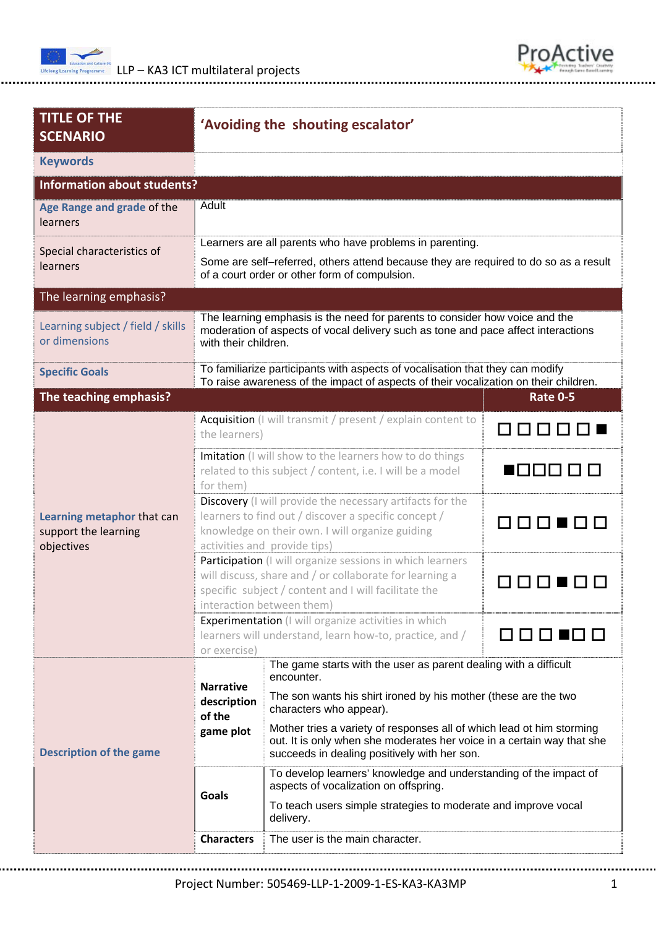



| <b>TITLE OF THE</b><br><b>SCENARIO</b>                           | 'Avoiding the shouting escalator'                                                                                                                                                                                       |                                                                                                                                                                                                 |                 |  |  |  |  |  |
|------------------------------------------------------------------|-------------------------------------------------------------------------------------------------------------------------------------------------------------------------------------------------------------------------|-------------------------------------------------------------------------------------------------------------------------------------------------------------------------------------------------|-----------------|--|--|--|--|--|
| <b>Keywords</b>                                                  |                                                                                                                                                                                                                         |                                                                                                                                                                                                 |                 |  |  |  |  |  |
| <b>Information about students?</b>                               |                                                                                                                                                                                                                         |                                                                                                                                                                                                 |                 |  |  |  |  |  |
| Age Range and grade of the<br>learners                           | Adult                                                                                                                                                                                                                   |                                                                                                                                                                                                 |                 |  |  |  |  |  |
| Special characteristics of                                       | Learners are all parents who have problems in parenting.                                                                                                                                                                |                                                                                                                                                                                                 |                 |  |  |  |  |  |
| learners                                                         | Some are self-referred, others attend because they are required to do so as a result<br>of a court order or other form of compulsion.                                                                                   |                                                                                                                                                                                                 |                 |  |  |  |  |  |
| The learning emphasis?                                           |                                                                                                                                                                                                                         |                                                                                                                                                                                                 |                 |  |  |  |  |  |
| Learning subject / field / skills<br>or dimensions               | The learning emphasis is the need for parents to consider how voice and the<br>moderation of aspects of vocal delivery such as tone and pace affect interactions<br>with their children.                                |                                                                                                                                                                                                 |                 |  |  |  |  |  |
| <b>Specific Goals</b>                                            | To familiarize participants with aspects of vocalisation that they can modify<br>To raise awareness of the impact of aspects of their vocalization on their children.                                                   |                                                                                                                                                                                                 |                 |  |  |  |  |  |
| The teaching emphasis?                                           |                                                                                                                                                                                                                         |                                                                                                                                                                                                 | <b>Rate 0-5</b> |  |  |  |  |  |
| Learning metaphor that can<br>support the learning<br>objectives | the learners)                                                                                                                                                                                                           | Acquisition (I will transmit / present / explain content to                                                                                                                                     |                 |  |  |  |  |  |
|                                                                  | for them)                                                                                                                                                                                                               | Imitation (I will show to the learners how to do things<br>related to this subject / content, i.e. I will be a model                                                                            | 800000          |  |  |  |  |  |
|                                                                  | Discovery (I will provide the necessary artifacts for the<br>learners to find out / discover a specific concept /<br><b>FIFICIAL</b><br>knowledge on their own. I will organize guiding<br>activities and provide tips) |                                                                                                                                                                                                 |                 |  |  |  |  |  |
|                                                                  | Participation (I will organize sessions in which learners<br>will discuss, share and / or collaborate for learning a<br>specific subject / content and I will facilitate the<br>interaction between them)               |                                                                                                                                                                                                 |                 |  |  |  |  |  |
|                                                                  | <b>Experimentation</b> (I will organize activities in which<br>learners will understand, learn how-to, practice, and /<br>or exercise)                                                                                  |                                                                                                                                                                                                 |                 |  |  |  |  |  |
| <b>Description of the game</b>                                   | <b>Narrative</b><br>description                                                                                                                                                                                         | The game starts with the user as parent dealing with a difficult<br>encounter.<br>The son wants his shirt ironed by his mother (these are the two<br>characters who appear).                    |                 |  |  |  |  |  |
|                                                                  | of the<br>game plot                                                                                                                                                                                                     | Mother tries a variety of responses all of which lead ot him storming<br>out. It is only when she moderates her voice in a certain way that she<br>succeeds in dealing positively with her son. |                 |  |  |  |  |  |
|                                                                  | Goals                                                                                                                                                                                                                   | To develop learners' knowledge and understanding of the impact of<br>aspects of vocalization on offspring.                                                                                      |                 |  |  |  |  |  |
|                                                                  |                                                                                                                                                                                                                         | To teach users simple strategies to moderate and improve vocal<br>delivery.                                                                                                                     |                 |  |  |  |  |  |
|                                                                  | <b>Characters</b>                                                                                                                                                                                                       | The user is the main character.                                                                                                                                                                 |                 |  |  |  |  |  |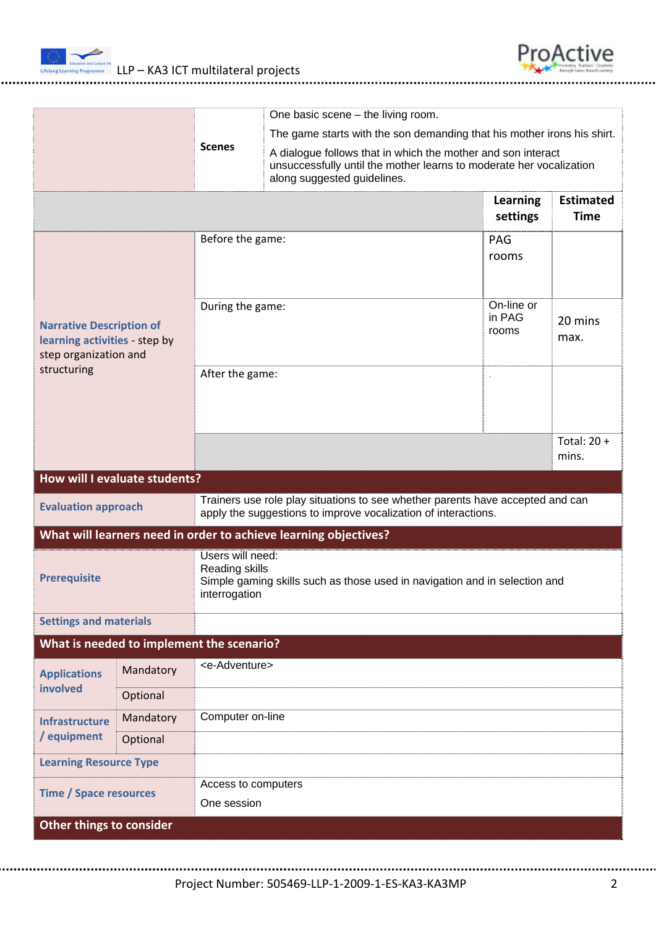



|                                                                                                                                                                                |           |                                                                                                                                   |                                                                                                                                                                    | One basic scene – the living room. |                               |                             |                                 |  |
|--------------------------------------------------------------------------------------------------------------------------------------------------------------------------------|-----------|-----------------------------------------------------------------------------------------------------------------------------------|--------------------------------------------------------------------------------------------------------------------------------------------------------------------|------------------------------------|-------------------------------|-----------------------------|---------------------------------|--|
|                                                                                                                                                                                |           |                                                                                                                                   | The game starts with the son demanding that his mother irons his shirt.                                                                                            |                                    |                               |                             |                                 |  |
|                                                                                                                                                                                |           | <b>Scenes</b>                                                                                                                     | A dialogue follows that in which the mother and son interact<br>unsuccessfully until the mother learns to moderate her vocalization<br>along suggested guidelines. |                                    |                               |                             |                                 |  |
|                                                                                                                                                                                |           |                                                                                                                                   |                                                                                                                                                                    |                                    |                               | <b>Learning</b><br>settings | <b>Estimated</b><br><b>Time</b> |  |
| <b>Narrative Description of</b><br>learning activities - step by<br>step organization and<br>structuring                                                                       |           | Before the game:                                                                                                                  |                                                                                                                                                                    |                                    | PAG<br>rooms                  |                             |                                 |  |
|                                                                                                                                                                                |           | During the game:                                                                                                                  |                                                                                                                                                                    |                                    | On-line or<br>in PAG<br>rooms | 20 mins<br>max.             |                                 |  |
|                                                                                                                                                                                |           | After the game:                                                                                                                   |                                                                                                                                                                    |                                    |                               |                             |                                 |  |
|                                                                                                                                                                                |           |                                                                                                                                   |                                                                                                                                                                    |                                    |                               |                             | Total: $20 +$<br>mins.          |  |
| How will I evaluate students?                                                                                                                                                  |           |                                                                                                                                   |                                                                                                                                                                    |                                    |                               |                             |                                 |  |
| Trainers use role play situations to see whether parents have accepted and can<br><b>Evaluation approach</b><br>apply the suggestions to improve vocalization of interactions. |           |                                                                                                                                   |                                                                                                                                                                    |                                    |                               |                             |                                 |  |
| What will learners need in order to achieve learning objectives?                                                                                                               |           |                                                                                                                                   |                                                                                                                                                                    |                                    |                               |                             |                                 |  |
| <b>Prerequisite</b>                                                                                                                                                            |           | Users will need:<br>Reading skills<br>Simple gaming skills such as those used in navigation and in selection and<br>interrogation |                                                                                                                                                                    |                                    |                               |                             |                                 |  |
| <b>Settings and materials</b>                                                                                                                                                  |           |                                                                                                                                   |                                                                                                                                                                    |                                    |                               |                             |                                 |  |
| What is needed to implement the scenario?                                                                                                                                      |           |                                                                                                                                   |                                                                                                                                                                    |                                    |                               |                             |                                 |  |
| <b>Applications</b>                                                                                                                                                            | Mandatory | <e-adventure></e-adventure>                                                                                                       |                                                                                                                                                                    |                                    |                               |                             |                                 |  |
| involved                                                                                                                                                                       | Optional  |                                                                                                                                   |                                                                                                                                                                    |                                    |                               |                             |                                 |  |
| <b>Infrastructure</b><br>/ equipment                                                                                                                                           | Mandatory | Computer on-line                                                                                                                  |                                                                                                                                                                    |                                    |                               |                             |                                 |  |
|                                                                                                                                                                                | Optional  |                                                                                                                                   |                                                                                                                                                                    |                                    |                               |                             |                                 |  |
| <b>Learning Resource Type</b>                                                                                                                                                  |           |                                                                                                                                   |                                                                                                                                                                    |                                    |                               |                             |                                 |  |
| <b>Time / Space resources</b>                                                                                                                                                  |           | Access to computers<br>One session                                                                                                |                                                                                                                                                                    |                                    |                               |                             |                                 |  |
| Other things to consider                                                                                                                                                       |           |                                                                                                                                   |                                                                                                                                                                    |                                    |                               |                             |                                 |  |

Project Number: 505469‐LLP‐1‐2009‐1‐ES‐KA3‐KA3MP 2